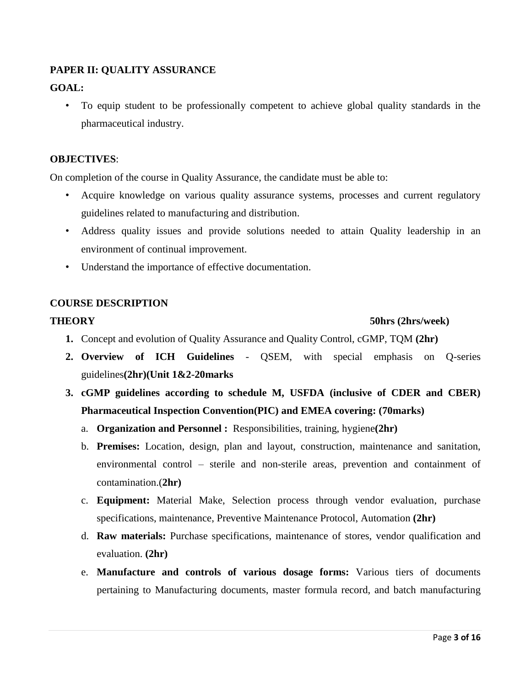# **PAPER II: QUALITY ASSURANCE**

# **GOAL:**

• To equip student to be professionally competent to achieve global quality standards in the pharmaceutical industry.

## **OBJECTIVES**:

On completion of the course in Quality Assurance, the candidate must be able to:

- Acquire knowledge on various quality assurance systems, processes and current regulatory guidelines related to manufacturing and distribution.
- Address quality issues and provide solutions needed to attain Quality leadership in an environment of continual improvement.
- Understand the importance of effective documentation.

# **COURSE DESCRIPTION**

### **THEORY** 50hrs (2hrs/week)

- **1.** Concept and evolution of Quality Assurance and Quality Control, cGMP, TQM **(2hr)**
- **2. Overview of ICH Guidelines** QSEM, with special emphasis on Q-series guidelines**(2hr)(Unit 1&2-20marks**
- **3. cGMP guidelines according to schedule M, USFDA (inclusive of CDER and CBER) Pharmaceutical Inspection Convention(PIC) and EMEA covering: (70marks)**
	- a. **Organization and Personnel :** Responsibilities, training, hygiene**(2hr)**
	- b. **Premises:** Location, design, plan and layout, construction, maintenance and sanitation, environmental control – sterile and non-sterile areas, prevention and containment of contamination.(**2hr)**
	- c. **Equipment:** Material Make, Selection process through vendor evaluation, purchase specifications, maintenance, Preventive Maintenance Protocol, Automation **(2hr)**
	- d. **Raw materials:** Purchase specifications, maintenance of stores, vendor qualification and evaluation. **(2hr)**
	- e. **Manufacture and controls of various dosage forms:** Various tiers of documents pertaining to Manufacturing documents, master formula record, and batch manufacturing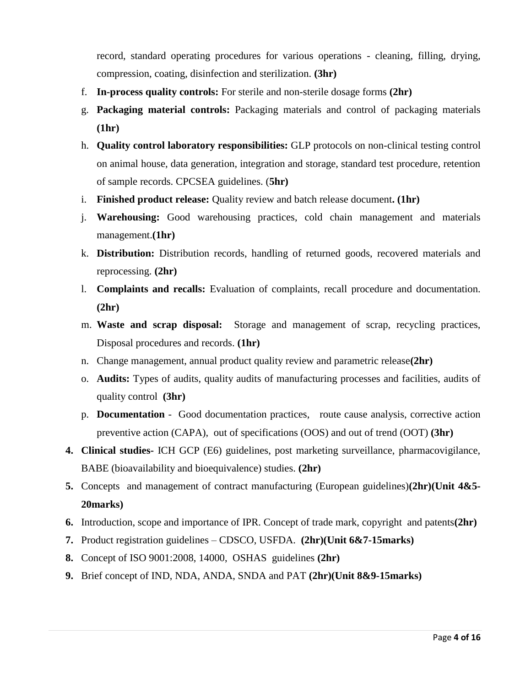record, standard operating procedures for various operations - cleaning, filling, drying, compression, coating, disinfection and sterilization. **(3hr)**

- f. **In-process quality controls:** For sterile and non-sterile dosage forms **(2hr)**
- g. **Packaging material controls:** Packaging materials and control of packaging materials **(1hr)**
- h. **Quality control laboratory responsibilities:** GLP protocols on non-clinical testing control on animal house, data generation, integration and storage, standard test procedure, retention of sample records. CPCSEA guidelines. (**5hr)**
- i. **Finished product release:** Quality review and batch release document**. (1hr)**
- j. **Warehousing:** Good warehousing practices, cold chain management and materials management.**(1hr)**
- k. **Distribution:** Distribution records, handling of returned goods, recovered materials and reprocessing. **(2hr)**
- l. **Complaints and recalls:** Evaluation of complaints, recall procedure and documentation. **(2hr)**
- m. **Waste and scrap disposal:** Storage and management of scrap, recycling practices, Disposal procedures and records. **(1hr)**
- n. Change management, annual product quality review and parametric release**(2hr)**
- o. **Audits:** Types of audits, quality audits of manufacturing processes and facilities, audits of quality control **(3hr)**
- p. **Documentation** Good documentation practices, route cause analysis, corrective action preventive action (CAPA), out of specifications (OOS) and out of trend (OOT) **(3hr)**
- **4. Clinical studies-** ICH GCP (E6) guidelines, post marketing surveillance, pharmacovigilance, BABE (bioavailability and bioequivalence) studies. **(2hr)**
- **5.** Concepts and management of contract manufacturing (European guidelines)**(2hr)(Unit 4&5- 20marks)**
- **6.** Introduction, scope and importance of IPR. Concept of trade mark, copyright and patents**(2hr)**
- **7.** Product registration guidelines CDSCO, USFDA. **(2hr)(Unit 6&7-15marks)**
- **8.** Concept of ISO 9001:2008, 14000, OSHAS guidelines **(2hr)**
- **9.** Brief concept of IND, NDA, ANDA, SNDA and PAT **(2hr)(Unit 8&9-15marks)**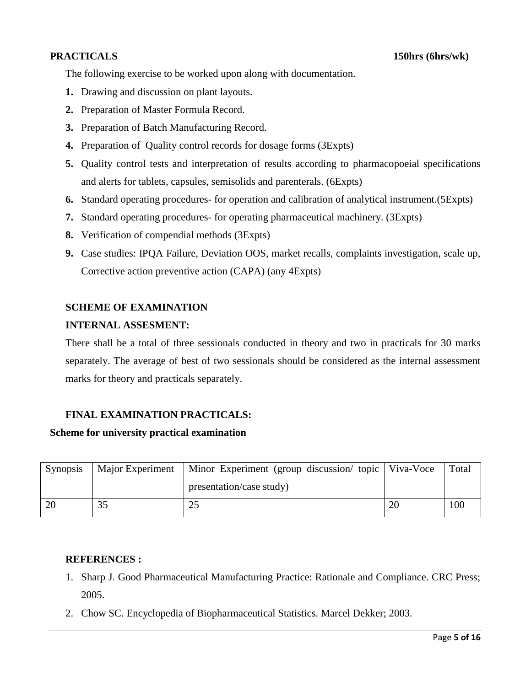The following exercise to be worked upon along with documentation.

- **1.** Drawing and discussion on plant layouts.
- **2.** Preparation of Master Formula Record.
- **3.** Preparation of Batch Manufacturing Record.
- **4.** Preparation of Quality control records for dosage forms (3Expts)
- **5.** Quality control tests and interpretation of results according to pharmacopoeial specifications and alerts for tablets, capsules, semisolids and parenterals. (6Expts)
- **6.** Standard operating procedures- for operation and calibration of analytical instrument.(5Expts)
- **7.** Standard operating procedures- for operating pharmaceutical machinery. (3Expts)
- **8.** Verification of compendial methods (3Expts)
- **9.** Case studies: IPQA Failure, Deviation OOS, market recalls, complaints investigation, scale up, Corrective action preventive action (CAPA) (any 4Expts)

## **SCHEME OF EXAMINATION**

### **INTERNAL ASSESMENT:**

There shall be a total of three sessionals conducted in theory and two in practicals for 30 marks separately. The average of best of two sessionals should be considered as the internal assessment marks for theory and practicals separately.

## **FINAL EXAMINATION PRACTICALS:**

#### **Scheme for university practical examination**

| Synopsis | Major Experiment | Minor Experiment (group discussion/ topic   Viva-Voce | Total |
|----------|------------------|-------------------------------------------------------|-------|
|          |                  | presentation/case study)                              |       |
|          |                  |                                                       | 100   |

## **REFERENCES :**

- 1. Sharp J. Good Pharmaceutical Manufacturing Practice: Rationale and Compliance. CRC Press; 2005.
- 2. Chow SC. Encyclopedia of Biopharmaceutical Statistics. Marcel Dekker; 2003.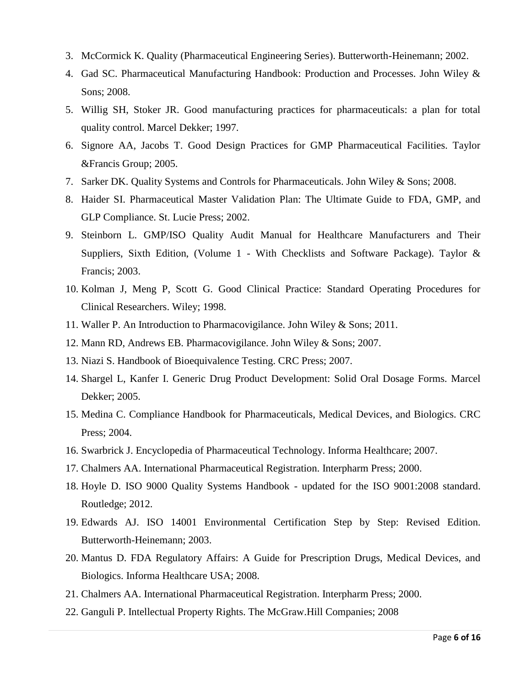- 3. McCormick K. Quality (Pharmaceutical Engineering Series). Butterworth-Heinemann; 2002.
- 4. Gad SC. Pharmaceutical Manufacturing Handbook: Production and Processes. John Wiley & Sons; 2008.
- 5. Willig SH, Stoker JR. Good manufacturing practices for pharmaceuticals: a plan for total quality control. Marcel Dekker; 1997.
- 6. Signore AA, Jacobs T. Good Design Practices for GMP Pharmaceutical Facilities. Taylor &Francis Group; 2005.
- 7. Sarker DK. Quality Systems and Controls for Pharmaceuticals. John Wiley & Sons; 2008.
- 8. Haider SI. Pharmaceutical Master Validation Plan: The Ultimate Guide to FDA, GMP, and GLP Compliance. St. Lucie Press; 2002.
- 9. Steinborn L. GMP/ISO Quality Audit Manual for Healthcare Manufacturers and Their Suppliers, Sixth Edition, (Volume 1 - With Checklists and Software Package). Taylor  $\&$ Francis; 2003.
- 10. Kolman J, Meng P, Scott G. Good Clinical Practice: Standard Operating Procedures for Clinical Researchers. Wiley; 1998.
- 11. Waller P. An Introduction to Pharmacovigilance. John Wiley & Sons; 2011.
- 12. Mann RD, Andrews EB. Pharmacovigilance. John Wiley & Sons; 2007.
- 13. Niazi S. Handbook of Bioequivalence Testing. CRC Press; 2007.
- 14. Shargel L, Kanfer I. Generic Drug Product Development: Solid Oral Dosage Forms. Marcel Dekker; 2005.
- 15. Medina C. Compliance Handbook for Pharmaceuticals, Medical Devices, and Biologics. CRC Press; 2004.
- 16. Swarbrick J. Encyclopedia of Pharmaceutical Technology. Informa Healthcare; 2007.
- 17. Chalmers AA. International Pharmaceutical Registration. Interpharm Press; 2000.
- 18. Hoyle D. ISO 9000 Quality Systems Handbook updated for the ISO 9001:2008 standard. Routledge; 2012.
- 19. Edwards AJ. ISO 14001 Environmental Certification Step by Step: Revised Edition. Butterworth-Heinemann; 2003.
- 20. Mantus D. FDA Regulatory Affairs: A Guide for Prescription Drugs, Medical Devices, and Biologics. Informa Healthcare USA; 2008.
- 21. Chalmers AA. International Pharmaceutical Registration. Interpharm Press; 2000.
- 22. Ganguli P. Intellectual Property Rights. The McGraw.Hill Companies; 2008